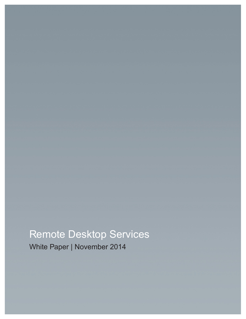## Remote Desktop Services

White Paper | November 2014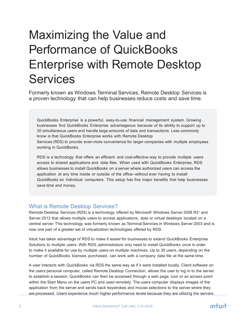# Maximizing the Value and Performance of QuickBooks Enterprise with Remote Desktop **Services**

Formerly known as Windows Terminal Services, Remote Desktop Services is a proven technology that can help businesses reduce costs and save time.

QuickBooks Enterprise is a powerful, easy-to-use financial management system. Growing businesses find QuickBooks Enterprise advantageous because of its ability to support up to 30 simultaneous users and handle large amounts of data and transactions. Less commonly know is that QuickBooks Enterprise works with Remote Desktop Services (RDS) to provide even more convenience for larger companies with multiple employees working in QuickBooks.

RDS is a technology that offers an efficient and cost-effective way to provide multiple users access to shared applications and data files. When used with QuickBooks Enterprise, RDS allows businesses to install QuickBooks on a server where authorized users can access the application at any time inside or outside of the office--without ever having to install QuickBooks on individual computers. This setup has five major benefits that help businesses save time and money.

#### What is Remote Desktop Services?

Remote Desktop Services (RDS) is a technology offered by Microsoft Windows Server 2008 R2<sup>1</sup> and Server 2012 that allows multiple users to access applications, data or virtual desktops located on a central server. This technology was formerly known as Terminal Services in Windows Server 2003 and is now one part of a greater set of virtualization technologies offered by RDS.

Intuit has taken advantage of RDS to make it easier for businesses to extend QuickBooks Enterprise Solutions to multiple users. With RDS, administrators only need to install QuickBooks once in order to make it available for use by multiple users on multiple machines. Up to 30 users, depending on the number of QuickBooks licenses purchased, can work with a company data file at the same time.

A user interacts with QuickBooks via RDS the same way as if it were installed locally. Client software on the users personal computer, called Remote Desktop Connection, allows the user to log in to the server to establish a session. QuickBooks can then be accessed through a web page, icon or an access point within the Start Menu on the users PC and used remotely. The users computer displays images of the application from the server and sends back keystrokes and mouse selections to the server where they are processed. Users experience much higher performance levels because they are utilizing the servers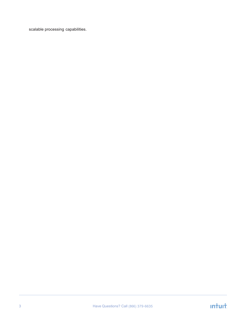scalable processing capabilities.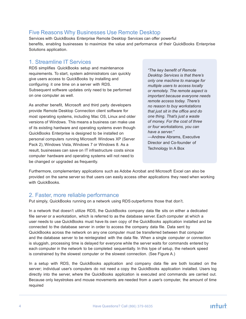#### Five Reasons Why Businesses Use Remote Desktop

Services with QuickBooks Enterprise Remote Desktop Services can offer powerful benefits, enabling businesses to maximize the value and performance of their QuickBooks Enterprise Solutions application.

#### 1. Streamline IT Services

RDS simplifies QuickBooks setup and maintenance requirements. To start, system administrators can quickly give users access to QuickBooks by installing and configuring it one time on a server with RDS. Subsequent software updates only need to be performed on one computer as well.

As another benefit, Microsoft and third party developers provide Remote Desktop Connection client software for most operating systems, including Mac OS, Linux and older versions of Windows. This means a business can make use of its existing hardware and operating systems even though QuickBooks Enterprise is designed to be installed on personal computers running Microsoft Windows XP (Server Pack 2), Windows Vista, Windows 7 or Windows 8. As a result, businesses can save on IT infrastructure costs since computer hardware and operating systems will not need to be changed or upgraded as frequently.

*"The key benefit of Remote Desktop Services is that there's only one machine to manage for multiple users to access locally or remotely. The remote aspect is important because everyone needs remote access today. There's no reason to buy workstations that just sit in the office and do one thing. That's just a waste of money. For the cost of three or four workstations, you can have a server."* —Andrew Abrams, Executive

Director and Co-founder of Technology In A Box

Furthermore, complementary applications such as Adobe Acrobat and Microsoft Excel can also be provided on the same server so that users can easily access other applications they need when working with QuickBooks.

#### 2. Faster, more reliable performance

Put simply, QuickBooks running on a network using RDS outperforms those that don't.

In a network that doesn't utilize RDS, the QuickBooks company data file sits on either a dedicated file server or a workstation, which is referred to as the database server. Each computer at which a user needs to use QuickBooks must have its own copy of the QuickBooks application installed and be connected to the database server in order to access the company data file. Data sent by QuickBooks across the network on any one computer must be transferred between that computer and the database server to be reintegrated with the data file. When a single computer or connection is sluggish, processing time is delayed for everyone while the server waits for commands entered by each computer in the network to be completed sequentially. In this type of setup, the network speed is constrained by the slowest computer or the slowest connection. (See Figure A.)

In a setup with RDS, the QuickBooks application and company data file are both located on the server; individual user's computers do not need a copy the QuickBooks application installed. Users log directly into the server, where the QuickBooks application is executed and commands are carried out. Because only keystrokes and mouse movements are needed from a user's computer, the amount of time required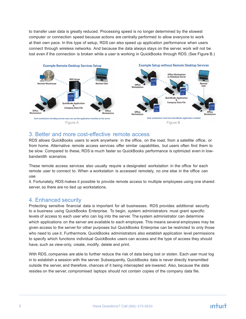to transfer user data is greatly reduced. Processing speed is no longer determined by the slowest computer or connection speed because actions are centrally performed to allow everyone to work at their own pace. In this type of setup, RDS can also speed up application performance when users connect through wireless networks. And because the data always stays on the server, work will not be lost even if the connection is broken while a user is working in QuickBooks through RDS. (See Figure B.)



#### 3. Better and more cost-effective remote access

RDS allows QuickBooks users to work anywhere: in the office, on the road, from a satellite office, or from home. Alternative remote access services offer similar capabilities, but users often find them to be slow. Compared to these, RDS is much faster so QuickBooks performance is optimized even in lowbandwidth scenarios.

These remote access services also usually require a designated workstation in the office for each remote user to connect to. When a workstation is accessed remotely, no one else in the office can use

it. Fortunately, RDS makes it possible to provide remote access to multiple employees using one shared server, so there are no tied up workstations.

#### 4. Enhanced security

Protecting sensitive financial data is important for all businesses. RDS provides additional security to a business using QuickBooks Enterprise. To begin, system administrators must grant specific levels of access to each user who can log into the server. The system administrator can determine which applications on the server are available to each employee. This means several employees may be given access to the server for other purposes but QuickBooks Enterprise can be restricted to only those who need to use it. Furthermore, QuickBooks administrators also establish application level permissions to specify which functions individual QuickBooks users can access and the type of access they should have, such as view-only, create, modify, delete and print.

With RDS, companies are able to further reduce the risk of data being lost or stolen. Each user must log in to establish a session with the server. Subsequently, QuickBooks data is never directly transmitted outside the server, and therefore, chances of it being intercepted are lowered. Also, because the data resides on the server, compromised laptops should not contain copies of the company data file.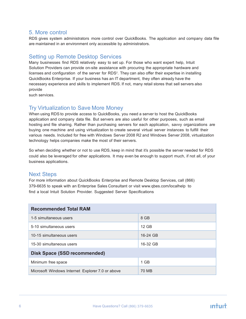#### 5. More control

RDS gives system administrators more control over QuickBooks. The application and company data file are maintained in an environment only accessible by administrators.

#### Setting up Remote Desktop Services

Many businesses find RDS relatively easy to set up. For those who want expert help, Intuit Solution Providers can provide on-site assistance with procuring the appropriate hardware and licenses and configuration of the server for RDS<sup>2</sup>. They can also offer their expertise in installing QuickBooks Enterprise. If your business has an IT department, they often already have the necessary experience and skills to implement RDS. If not, many retail stores that sell servers also provide

such services.

#### Try Virtualization to Save More Money

When using RDS to provide access to QuickBooks, you need a server to host the QuickBooks application and company data file. But servers are also useful for other purposes, such as email hosting and file sharing. Rather than purchasing servers for each application, savvy organizations are buying one machine and using virtualization to create several virtual server instances to fulfill their various needs. Included for free with Windows Server 2008 R2 and Windows Server 2008, virtualization technology helps companies make the most of their servers.

So when deciding whether or not to use RDS, keep in mind that it's possible the server needed for RDS could also be leveraged for other applications. It may even be enough to support much, if not all, of your business applications.

#### Next Steps

For more information about QuickBooks Enterprise and Remote Desktop Services, call (866) 379-6635 to speak with an Enterprise Sales Consultant or visit www.qbes.com/localhelp to find a local Intuit Solution Provider. Suggested Server Specifications

| <b>Recommended Total RAM</b>                     |          |
|--------------------------------------------------|----------|
| 1-5 simultaneous users                           | 8 GB     |
| 5-10 simultaneous users                          | 12 GB    |
| 10-15 simultaneous users                         | 16-24 GB |
| 15-30 simultaneous users                         | 16-32 GB |
| Disk Space (SSD recommended)                     |          |
| Minimum free space                               | $1$ GB   |
| Microsoft Windows Internet Explorer 7.0 or above | 70 MB    |